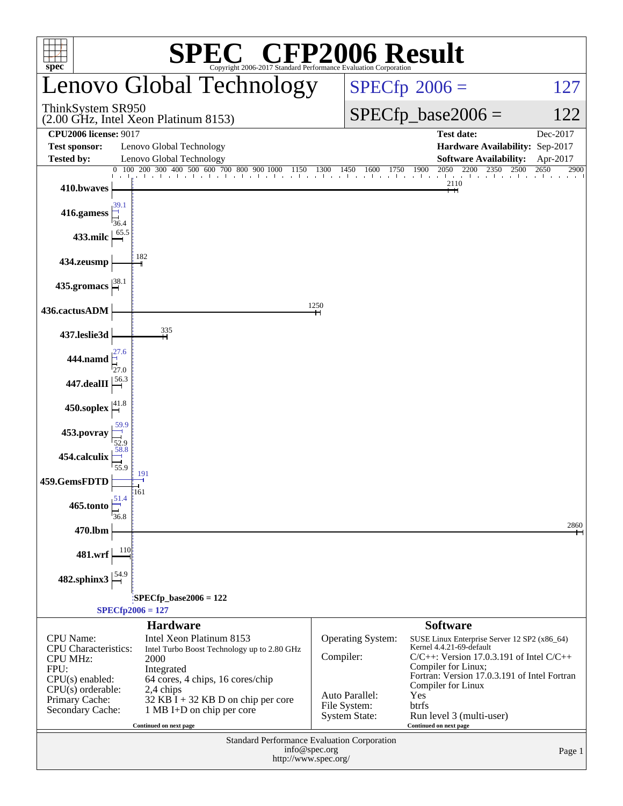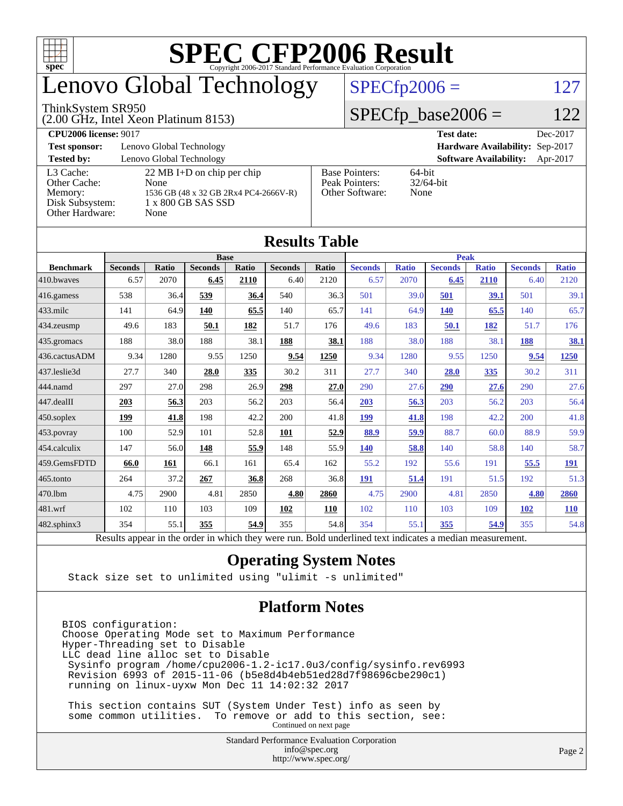

# enovo Global Technology

#### ThinkSystem SR950

(2.00 GHz, Intel Xeon Platinum 8153)

 $SPECfp2006 = 127$  $SPECfp2006 = 127$ 

#### $SPECfp\_base2006 = 122$

#### **[CPU2006 license:](http://www.spec.org/auto/cpu2006/Docs/result-fields.html#CPU2006license)** 9017 **[Test date:](http://www.spec.org/auto/cpu2006/Docs/result-fields.html#Testdate)** Dec-2017 **[Test sponsor:](http://www.spec.org/auto/cpu2006/Docs/result-fields.html#Testsponsor)** Lenovo Global Technology **[Hardware Availability:](http://www.spec.org/auto/cpu2006/Docs/result-fields.html#HardwareAvailability)** Sep-2017 **[Tested by:](http://www.spec.org/auto/cpu2006/Docs/result-fields.html#Testedby)** Lenovo Global Technology **[Software Availability:](http://www.spec.org/auto/cpu2006/Docs/result-fields.html#SoftwareAvailability)** Apr-2017 [L3 Cache:](http://www.spec.org/auto/cpu2006/Docs/result-fields.html#L3Cache) 22 MB I+D on chip per chip<br>Other Cache: None [Other Cache:](http://www.spec.org/auto/cpu2006/Docs/result-fields.html#OtherCache) [Memory:](http://www.spec.org/auto/cpu2006/Docs/result-fields.html#Memory) 1536 GB (48 x 32 GB 2Rx4 PC4-2666V-R) [Disk Subsystem:](http://www.spec.org/auto/cpu2006/Docs/result-fields.html#DiskSubsystem) 1 x 800 GB SAS SSD [Other Hardware:](http://www.spec.org/auto/cpu2006/Docs/result-fields.html#OtherHardware) None [Base Pointers:](http://www.spec.org/auto/cpu2006/Docs/result-fields.html#BasePointers) 64-bit<br>Peak Pointers: 32/64-bit [Peak Pointers:](http://www.spec.org/auto/cpu2006/Docs/result-fields.html#PeakPointers) [Other Software:](http://www.spec.org/auto/cpu2006/Docs/result-fields.html#OtherSoftware) None

| <b>Results Table</b>   |                                                                                                          |       |                |       |                |       |                |              |                |              |                |              |
|------------------------|----------------------------------------------------------------------------------------------------------|-------|----------------|-------|----------------|-------|----------------|--------------|----------------|--------------|----------------|--------------|
|                        | <b>Base</b>                                                                                              |       |                |       |                |       | <b>Peak</b>    |              |                |              |                |              |
| <b>Benchmark</b>       | <b>Seconds</b>                                                                                           | Ratio | <b>Seconds</b> | Ratio | <b>Seconds</b> | Ratio | <b>Seconds</b> | <b>Ratio</b> | <b>Seconds</b> | <b>Ratio</b> | <b>Seconds</b> | <b>Ratio</b> |
| 410.bwayes             | 6.57                                                                                                     | 2070  | 6.45           | 2110  | 6.40           | 2120  | 6.57           | 2070         | 6.45           | 2110         | 6.40           | 2120         |
| 416.gamess             | 538                                                                                                      | 36.4  | 539            | 36.4  | 540            | 36.3  | 501            | 39.0         | 501            | 39.1         | 501            | 39.1         |
| $433$ .milc            | 141                                                                                                      | 64.9  | 140            | 65.5  | 140            | 65.7  | 141            | 64.9         | 140            | 65.5         | 140            | 65.7         |
| $434$ . zeusmp         | 49.6                                                                                                     | 183   | 50.1           | 182   | 51.7           | 176   | 49.6           | 183          | 50.1           | 182          | 51.7           | 176          |
| $435.$ gromacs         | 188                                                                                                      | 38.0  | 188            | 38.1  | 188            | 38.1  | 188            | 38.0         | 188            | 38.1         | 188            | 38.1         |
| 436.cactusADM          | 9.34                                                                                                     | 1280  | 9.55           | 1250  | 9.54           | 1250  | 9.34           | 1280         | 9.55           | 1250         | 9.54           | 1250         |
| 437.leslie3d           | 27.7                                                                                                     | 340   | 28.0           | 335   | 30.2           | 311   | 27.7           | 340          | 28.0           | 335          | 30.2           | 311          |
| 444.namd               | 297                                                                                                      | 27.0  | 298            | 26.9  | 298            | 27.0  | 290            | 27.6         | 290            | 27.6         | 290            | 27.6         |
| $ 447 \text{.}$ dealII | 203                                                                                                      | 56.3  | 203            | 56.2  | 203            | 56.4  | 203            | 56.3         | 203            | 56.2         | 203            | 56.4         |
| $450$ .soplex          | 199                                                                                                      | 41.8  | 198            | 42.2  | 200            | 41.8  | 199            | 41.8         | 198            | 42.2         | 200            | 41.8         |
| $453$ .povray          | 100                                                                                                      | 52.9  | 101            | 52.8  | 101            | 52.9  | 88.9           | 59.9         | 88.7           | 60.0         | 88.9           | 59.9         |
| $454$ .calculix        | 147                                                                                                      | 56.0  | 148            | 55.9  | 148            | 55.9  | <b>140</b>     | 58.8         | 140            | 58.8         | 140            | 58.7         |
| 459.GemsFDTD           | 66.0                                                                                                     | 161   | 66.1           | 161   | 65.4           | 162   | 55.2           | 192          | 55.6           | 191          | 55.5           | <u>191</u>   |
| $465$ .tonto           | 264                                                                                                      | 37.2  | 267            | 36.8  | 268            | 36.8  | 191            | 51.4         | 191            | 51.5         | 192            | 51.3         |
| 470.1bm                | 4.75                                                                                                     | 2900  | 4.81           | 2850  | 4.80           | 2860  | 4.75           | 2900         | 4.81           | 2850         | 4.80           | 2860         |
| $ 481$ .wrf            | 102                                                                                                      | 110   | 103            | 109   | 102            | 110   | 102            | 110          | 103            | 109          | <b>102</b>     | <b>110</b>   |
| $482$ .sphinx $3$      | 354                                                                                                      | 55.1  | 355            | 54.9  | 355            | 54.8  | 354            | 55.1         | 355            | 54.9         | 355            | 54.8         |
|                        | Results appear in the order in which they were run. Bold underlined text indicates a median measurement. |       |                |       |                |       |                |              |                |              |                |              |

#### **[Operating System Notes](http://www.spec.org/auto/cpu2006/Docs/result-fields.html#OperatingSystemNotes)**

Stack size set to unlimited using "ulimit -s unlimited"

#### **[Platform Notes](http://www.spec.org/auto/cpu2006/Docs/result-fields.html#PlatformNotes)**

BIOS configuration: Choose Operating Mode set to Maximum Performance Hyper-Threading set to Disable LLC dead line alloc set to Disable Sysinfo program /home/cpu2006-1.2-ic17.0u3/config/sysinfo.rev6993 Revision 6993 of 2015-11-06 (b5e8d4b4eb51ed28d7f98696cbe290c1) running on linux-uyxw Mon Dec 11 14:02:32 2017

 This section contains SUT (System Under Test) info as seen by some common utilities. To remove or add to this section, see: Continued on next page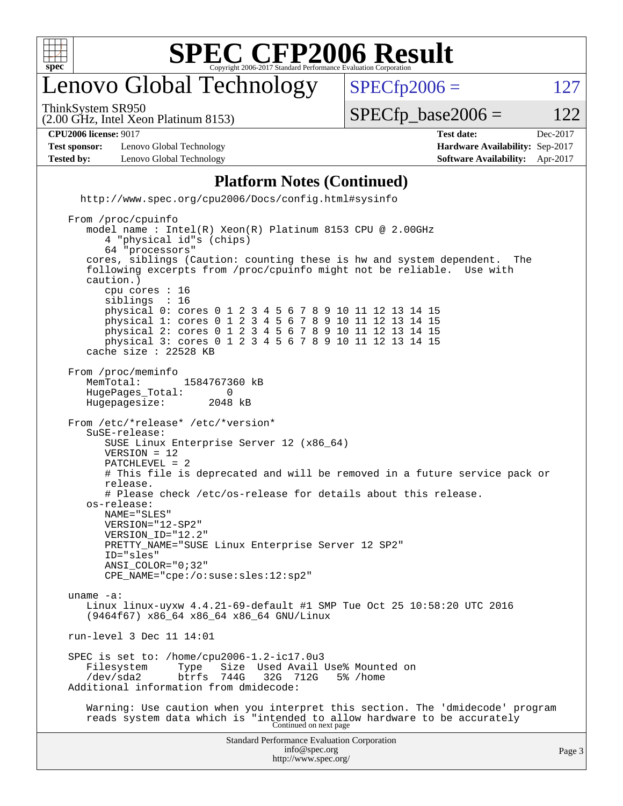

# enovo Global Technology

ThinkSystem SR950

 $SPECTp2006 = 127$ 

(2.00 GHz, Intel Xeon Platinum 8153)

 $SPECTp\_base2006 = 122$ 

**[CPU2006 license:](http://www.spec.org/auto/cpu2006/Docs/result-fields.html#CPU2006license)** 9017 **[Test date:](http://www.spec.org/auto/cpu2006/Docs/result-fields.html#Testdate)** Dec-2017

**[Test sponsor:](http://www.spec.org/auto/cpu2006/Docs/result-fields.html#Testsponsor)** Lenovo Global Technology **[Hardware Availability:](http://www.spec.org/auto/cpu2006/Docs/result-fields.html#HardwareAvailability)** Sep-2017 **[Tested by:](http://www.spec.org/auto/cpu2006/Docs/result-fields.html#Testedby)** Lenovo Global Technology **[Software Availability:](http://www.spec.org/auto/cpu2006/Docs/result-fields.html#SoftwareAvailability)** Apr-2017

#### **[Platform Notes \(Continued\)](http://www.spec.org/auto/cpu2006/Docs/result-fields.html#PlatformNotes)**

<http://www.spec.org/cpu2006/Docs/config.html#sysinfo>

```
Standard Performance Evaluation Corporation
                                        info@spec.org
                                      http://www.spec.org/
                                                                                           Page 3
 From /proc/cpuinfo
     model name : Intel(R) Xeon(R) Platinum 8153 CPU @ 2.00GHz
        4 "physical id"s (chips)
        64 "processors"
     cores, siblings (Caution: counting these is hw and system dependent. The
     following excerpts from /proc/cpuinfo might not be reliable. Use with
     caution.)
        cpu cores : 16
       siblings
        physical 0: cores 0 1 2 3 4 5 6 7 8 9 10 11 12 13 14 15
        physical 1: cores 0 1 2 3 4 5 6 7 8 9 10 11 12 13 14 15
        physical 2: cores 0 1 2 3 4 5 6 7 8 9 10 11 12 13 14 15
        physical 3: cores 0 1 2 3 4 5 6 7 8 9 10 11 12 13 14 15
     cache size : 22528 KB
 From /proc/meminfo
    MemTotal: 1584767360 kB<br>HugePages Total: 0
    HugePages_Total: 0<br>Hugepagesize: 2048 kB
    Hugepagesize:
 From /etc/*release* /etc/*version*
     SuSE-release:
        SUSE Linux Enterprise Server 12 (x86_64)
        VERSION = 12
        PATCHLEVEL = 2
        # This file is deprecated and will be removed in a future service pack or
        release.
        # Please check /etc/os-release for details about this release.
     os-release:
        NAME="SLES"
        VERSION="12-SP2"
        VERSION_ID="12.2"
       PRETTY_NAME="SUSE Linux Enterprise Server 12 SP2"
        ID="sles"
        ANSI_COLOR="0;32"
        CPE_NAME="cpe:/o:suse:sles:12:sp2"
 uname -a:
     Linux linux-uyxw 4.4.21-69-default #1 SMP Tue Oct 25 10:58:20 UTC 2016
     (9464f67) x86_64 x86_64 x86_64 GNU/Linux
 run-level 3 Dec 11 14:01
SPEC is set to: /home/cpu2006-1.2-ic17.0u3<br>Filesystem Type Size Used Avail
                    Type Size Used Avail Use% Mounted on<br>btrfs 744G 32G 712G 5% /home
     /dev/sda2 btrfs 744G 32G 712G 5% /home
 Additional information from dmidecode:
     Warning: Use caution when you interpret this section. The 'dmidecode' program
 reads system data which is "intended to allow hardware to be accurately
Continued on next page
```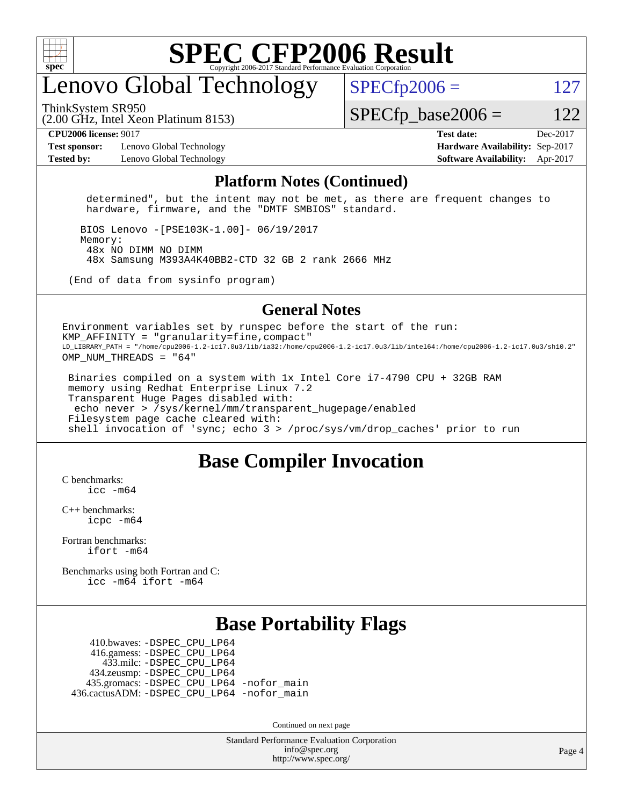

# enovo Global Technology

ThinkSystem SR950

 $SPECTp2006 = 127$ 

(2.00 GHz, Intel Xeon Platinum 8153)

 $SPECTp\_base2006 = 122$ 

**[Test sponsor:](http://www.spec.org/auto/cpu2006/Docs/result-fields.html#Testsponsor)** Lenovo Global Technology **[Hardware Availability:](http://www.spec.org/auto/cpu2006/Docs/result-fields.html#HardwareAvailability)** Sep-2017 **[Tested by:](http://www.spec.org/auto/cpu2006/Docs/result-fields.html#Testedby)** Lenovo Global Technology **[Software Availability:](http://www.spec.org/auto/cpu2006/Docs/result-fields.html#SoftwareAvailability)** Apr-2017

**[CPU2006 license:](http://www.spec.org/auto/cpu2006/Docs/result-fields.html#CPU2006license)** 9017 **[Test date:](http://www.spec.org/auto/cpu2006/Docs/result-fields.html#Testdate)** Dec-2017

#### **[Platform Notes \(Continued\)](http://www.spec.org/auto/cpu2006/Docs/result-fields.html#PlatformNotes)**

 determined", but the intent may not be met, as there are frequent changes to hardware, firmware, and the "DMTF SMBIOS" standard.

 BIOS Lenovo -[PSE103K-1.00]- 06/19/2017 Memory: 48x NO DIMM NO DIMM 48x Samsung M393A4K40BB2-CTD 32 GB 2 rank 2666 MHz

(End of data from sysinfo program)

#### **[General Notes](http://www.spec.org/auto/cpu2006/Docs/result-fields.html#GeneralNotes)**

Environment variables set by runspec before the start of the run: KMP AFFINITY = "granularity=fine, compact" LD\_LIBRARY\_PATH = "/home/cpu2006-1.2-ic17.0u3/lib/ia32:/home/cpu2006-1.2-ic17.0u3/lib/intel64:/home/cpu2006-1.2-ic17.0u3/sh10.2" OMP NUM THREADS = "64"

 Binaries compiled on a system with 1x Intel Core i7-4790 CPU + 32GB RAM memory using Redhat Enterprise Linux 7.2 Transparent Huge Pages disabled with: echo never > /sys/kernel/mm/transparent\_hugepage/enabled Filesystem page cache cleared with: shell invocation of 'sync; echo 3 > /proc/sys/vm/drop\_caches' prior to run

### **[Base Compiler Invocation](http://www.spec.org/auto/cpu2006/Docs/result-fields.html#BaseCompilerInvocation)**

[C benchmarks](http://www.spec.org/auto/cpu2006/Docs/result-fields.html#Cbenchmarks):  $inc$   $-m64$ 

[C++ benchmarks:](http://www.spec.org/auto/cpu2006/Docs/result-fields.html#CXXbenchmarks) [icpc -m64](http://www.spec.org/cpu2006/results/res2017q4/cpu2006-20171211-51068.flags.html#user_CXXbase_intel_icpc_64bit_fc66a5337ce925472a5c54ad6a0de310)

[Fortran benchmarks](http://www.spec.org/auto/cpu2006/Docs/result-fields.html#Fortranbenchmarks): [ifort -m64](http://www.spec.org/cpu2006/results/res2017q4/cpu2006-20171211-51068.flags.html#user_FCbase_intel_ifort_64bit_ee9d0fb25645d0210d97eb0527dcc06e)

[Benchmarks using both Fortran and C](http://www.spec.org/auto/cpu2006/Docs/result-fields.html#BenchmarksusingbothFortranandC): [icc -m64](http://www.spec.org/cpu2006/results/res2017q4/cpu2006-20171211-51068.flags.html#user_CC_FCbase_intel_icc_64bit_bda6cc9af1fdbb0edc3795bac97ada53) [ifort -m64](http://www.spec.org/cpu2006/results/res2017q4/cpu2006-20171211-51068.flags.html#user_CC_FCbase_intel_ifort_64bit_ee9d0fb25645d0210d97eb0527dcc06e)

### **[Base Portability Flags](http://www.spec.org/auto/cpu2006/Docs/result-fields.html#BasePortabilityFlags)**

 410.bwaves: [-DSPEC\\_CPU\\_LP64](http://www.spec.org/cpu2006/results/res2017q4/cpu2006-20171211-51068.flags.html#suite_basePORTABILITY410_bwaves_DSPEC_CPU_LP64) 416.gamess: [-DSPEC\\_CPU\\_LP64](http://www.spec.org/cpu2006/results/res2017q4/cpu2006-20171211-51068.flags.html#suite_basePORTABILITY416_gamess_DSPEC_CPU_LP64) 433.milc: [-DSPEC\\_CPU\\_LP64](http://www.spec.org/cpu2006/results/res2017q4/cpu2006-20171211-51068.flags.html#suite_basePORTABILITY433_milc_DSPEC_CPU_LP64) 434.zeusmp: [-DSPEC\\_CPU\\_LP64](http://www.spec.org/cpu2006/results/res2017q4/cpu2006-20171211-51068.flags.html#suite_basePORTABILITY434_zeusmp_DSPEC_CPU_LP64) 435.gromacs: [-DSPEC\\_CPU\\_LP64](http://www.spec.org/cpu2006/results/res2017q4/cpu2006-20171211-51068.flags.html#suite_basePORTABILITY435_gromacs_DSPEC_CPU_LP64) [-nofor\\_main](http://www.spec.org/cpu2006/results/res2017q4/cpu2006-20171211-51068.flags.html#user_baseLDPORTABILITY435_gromacs_f-nofor_main) 436.cactusADM: [-DSPEC\\_CPU\\_LP64](http://www.spec.org/cpu2006/results/res2017q4/cpu2006-20171211-51068.flags.html#suite_basePORTABILITY436_cactusADM_DSPEC_CPU_LP64) [-nofor\\_main](http://www.spec.org/cpu2006/results/res2017q4/cpu2006-20171211-51068.flags.html#user_baseLDPORTABILITY436_cactusADM_f-nofor_main)

Continued on next page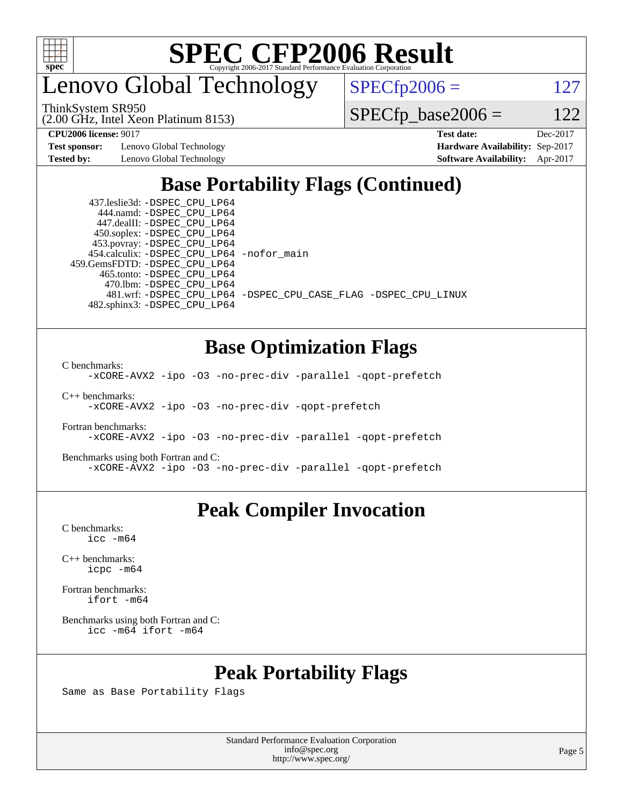

enovo Global Technology

ThinkSystem SR950

(2.00 GHz, Intel Xeon Platinum 8153)

 $SPECfp2006 = 127$  $SPECfp2006 = 127$ 

 $SPECTp\_base2006 = 122$ 

**[Test sponsor:](http://www.spec.org/auto/cpu2006/Docs/result-fields.html#Testsponsor)** Lenovo Global Technology **[Hardware Availability:](http://www.spec.org/auto/cpu2006/Docs/result-fields.html#HardwareAvailability)** Sep-2017

**[CPU2006 license:](http://www.spec.org/auto/cpu2006/Docs/result-fields.html#CPU2006license)** 9017 **[Test date:](http://www.spec.org/auto/cpu2006/Docs/result-fields.html#Testdate)** Dec-2017 **[Tested by:](http://www.spec.org/auto/cpu2006/Docs/result-fields.html#Testedby)** Lenovo Global Technology **[Software Availability:](http://www.spec.org/auto/cpu2006/Docs/result-fields.html#SoftwareAvailability)** Apr-2017

## **[Base Portability Flags \(Continued\)](http://www.spec.org/auto/cpu2006/Docs/result-fields.html#BasePortabilityFlags)**

 437.leslie3d: [-DSPEC\\_CPU\\_LP64](http://www.spec.org/cpu2006/results/res2017q4/cpu2006-20171211-51068.flags.html#suite_basePORTABILITY437_leslie3d_DSPEC_CPU_LP64) 444.namd: [-DSPEC\\_CPU\\_LP64](http://www.spec.org/cpu2006/results/res2017q4/cpu2006-20171211-51068.flags.html#suite_basePORTABILITY444_namd_DSPEC_CPU_LP64) 447.dealII: [-DSPEC\\_CPU\\_LP64](http://www.spec.org/cpu2006/results/res2017q4/cpu2006-20171211-51068.flags.html#suite_basePORTABILITY447_dealII_DSPEC_CPU_LP64) 450.soplex: [-DSPEC\\_CPU\\_LP64](http://www.spec.org/cpu2006/results/res2017q4/cpu2006-20171211-51068.flags.html#suite_basePORTABILITY450_soplex_DSPEC_CPU_LP64) 453.povray: [-DSPEC\\_CPU\\_LP64](http://www.spec.org/cpu2006/results/res2017q4/cpu2006-20171211-51068.flags.html#suite_basePORTABILITY453_povray_DSPEC_CPU_LP64) 454.calculix: [-DSPEC\\_CPU\\_LP64](http://www.spec.org/cpu2006/results/res2017q4/cpu2006-20171211-51068.flags.html#suite_basePORTABILITY454_calculix_DSPEC_CPU_LP64) [-nofor\\_main](http://www.spec.org/cpu2006/results/res2017q4/cpu2006-20171211-51068.flags.html#user_baseLDPORTABILITY454_calculix_f-nofor_main) 459.GemsFDTD: [-DSPEC\\_CPU\\_LP64](http://www.spec.org/cpu2006/results/res2017q4/cpu2006-20171211-51068.flags.html#suite_basePORTABILITY459_GemsFDTD_DSPEC_CPU_LP64) 465.tonto: [-DSPEC\\_CPU\\_LP64](http://www.spec.org/cpu2006/results/res2017q4/cpu2006-20171211-51068.flags.html#suite_basePORTABILITY465_tonto_DSPEC_CPU_LP64) 470.lbm: [-DSPEC\\_CPU\\_LP64](http://www.spec.org/cpu2006/results/res2017q4/cpu2006-20171211-51068.flags.html#suite_basePORTABILITY470_lbm_DSPEC_CPU_LP64) 482.sphinx3: [-DSPEC\\_CPU\\_LP64](http://www.spec.org/cpu2006/results/res2017q4/cpu2006-20171211-51068.flags.html#suite_basePORTABILITY482_sphinx3_DSPEC_CPU_LP64)

481.wrf: [-DSPEC\\_CPU\\_LP64](http://www.spec.org/cpu2006/results/res2017q4/cpu2006-20171211-51068.flags.html#suite_basePORTABILITY481_wrf_DSPEC_CPU_LP64) [-DSPEC\\_CPU\\_CASE\\_FLAG](http://www.spec.org/cpu2006/results/res2017q4/cpu2006-20171211-51068.flags.html#b481.wrf_baseCPORTABILITY_DSPEC_CPU_CASE_FLAG) [-DSPEC\\_CPU\\_LINUX](http://www.spec.org/cpu2006/results/res2017q4/cpu2006-20171211-51068.flags.html#b481.wrf_baseCPORTABILITY_DSPEC_CPU_LINUX)

### **[Base Optimization Flags](http://www.spec.org/auto/cpu2006/Docs/result-fields.html#BaseOptimizationFlags)**

[C benchmarks](http://www.spec.org/auto/cpu2006/Docs/result-fields.html#Cbenchmarks):

[-xCORE-AVX2](http://www.spec.org/cpu2006/results/res2017q4/cpu2006-20171211-51068.flags.html#user_CCbase_f-xCORE-AVX2) [-ipo](http://www.spec.org/cpu2006/results/res2017q4/cpu2006-20171211-51068.flags.html#user_CCbase_f-ipo) [-O3](http://www.spec.org/cpu2006/results/res2017q4/cpu2006-20171211-51068.flags.html#user_CCbase_f-O3) [-no-prec-div](http://www.spec.org/cpu2006/results/res2017q4/cpu2006-20171211-51068.flags.html#user_CCbase_f-no-prec-div) [-parallel](http://www.spec.org/cpu2006/results/res2017q4/cpu2006-20171211-51068.flags.html#user_CCbase_f-parallel) [-qopt-prefetch](http://www.spec.org/cpu2006/results/res2017q4/cpu2006-20171211-51068.flags.html#user_CCbase_f-qopt-prefetch)

[C++ benchmarks:](http://www.spec.org/auto/cpu2006/Docs/result-fields.html#CXXbenchmarks)

[-xCORE-AVX2](http://www.spec.org/cpu2006/results/res2017q4/cpu2006-20171211-51068.flags.html#user_CXXbase_f-xCORE-AVX2) [-ipo](http://www.spec.org/cpu2006/results/res2017q4/cpu2006-20171211-51068.flags.html#user_CXXbase_f-ipo) [-O3](http://www.spec.org/cpu2006/results/res2017q4/cpu2006-20171211-51068.flags.html#user_CXXbase_f-O3) [-no-prec-div](http://www.spec.org/cpu2006/results/res2017q4/cpu2006-20171211-51068.flags.html#user_CXXbase_f-no-prec-div) [-qopt-prefetch](http://www.spec.org/cpu2006/results/res2017q4/cpu2006-20171211-51068.flags.html#user_CXXbase_f-qopt-prefetch)

[Fortran benchmarks](http://www.spec.org/auto/cpu2006/Docs/result-fields.html#Fortranbenchmarks): [-xCORE-AVX2](http://www.spec.org/cpu2006/results/res2017q4/cpu2006-20171211-51068.flags.html#user_FCbase_f-xCORE-AVX2) [-ipo](http://www.spec.org/cpu2006/results/res2017q4/cpu2006-20171211-51068.flags.html#user_FCbase_f-ipo) [-O3](http://www.spec.org/cpu2006/results/res2017q4/cpu2006-20171211-51068.flags.html#user_FCbase_f-O3) [-no-prec-div](http://www.spec.org/cpu2006/results/res2017q4/cpu2006-20171211-51068.flags.html#user_FCbase_f-no-prec-div) [-parallel](http://www.spec.org/cpu2006/results/res2017q4/cpu2006-20171211-51068.flags.html#user_FCbase_f-parallel) [-qopt-prefetch](http://www.spec.org/cpu2006/results/res2017q4/cpu2006-20171211-51068.flags.html#user_FCbase_f-qopt-prefetch)

[Benchmarks using both Fortran and C](http://www.spec.org/auto/cpu2006/Docs/result-fields.html#BenchmarksusingbothFortranandC): [-xCORE-AVX2](http://www.spec.org/cpu2006/results/res2017q4/cpu2006-20171211-51068.flags.html#user_CC_FCbase_f-xCORE-AVX2) [-ipo](http://www.spec.org/cpu2006/results/res2017q4/cpu2006-20171211-51068.flags.html#user_CC_FCbase_f-ipo) [-O3](http://www.spec.org/cpu2006/results/res2017q4/cpu2006-20171211-51068.flags.html#user_CC_FCbase_f-O3) [-no-prec-div](http://www.spec.org/cpu2006/results/res2017q4/cpu2006-20171211-51068.flags.html#user_CC_FCbase_f-no-prec-div) [-parallel](http://www.spec.org/cpu2006/results/res2017q4/cpu2006-20171211-51068.flags.html#user_CC_FCbase_f-parallel) [-qopt-prefetch](http://www.spec.org/cpu2006/results/res2017q4/cpu2006-20171211-51068.flags.html#user_CC_FCbase_f-qopt-prefetch)

### **[Peak Compiler Invocation](http://www.spec.org/auto/cpu2006/Docs/result-fields.html#PeakCompilerInvocation)**

[C benchmarks](http://www.spec.org/auto/cpu2006/Docs/result-fields.html#Cbenchmarks): [icc -m64](http://www.spec.org/cpu2006/results/res2017q4/cpu2006-20171211-51068.flags.html#user_CCpeak_intel_icc_64bit_bda6cc9af1fdbb0edc3795bac97ada53)

[C++ benchmarks:](http://www.spec.org/auto/cpu2006/Docs/result-fields.html#CXXbenchmarks) [icpc -m64](http://www.spec.org/cpu2006/results/res2017q4/cpu2006-20171211-51068.flags.html#user_CXXpeak_intel_icpc_64bit_fc66a5337ce925472a5c54ad6a0de310)

[Fortran benchmarks](http://www.spec.org/auto/cpu2006/Docs/result-fields.html#Fortranbenchmarks): [ifort -m64](http://www.spec.org/cpu2006/results/res2017q4/cpu2006-20171211-51068.flags.html#user_FCpeak_intel_ifort_64bit_ee9d0fb25645d0210d97eb0527dcc06e)

[Benchmarks using both Fortran and C](http://www.spec.org/auto/cpu2006/Docs/result-fields.html#BenchmarksusingbothFortranandC): [icc -m64](http://www.spec.org/cpu2006/results/res2017q4/cpu2006-20171211-51068.flags.html#user_CC_FCpeak_intel_icc_64bit_bda6cc9af1fdbb0edc3795bac97ada53) [ifort -m64](http://www.spec.org/cpu2006/results/res2017q4/cpu2006-20171211-51068.flags.html#user_CC_FCpeak_intel_ifort_64bit_ee9d0fb25645d0210d97eb0527dcc06e)

### **[Peak Portability Flags](http://www.spec.org/auto/cpu2006/Docs/result-fields.html#PeakPortabilityFlags)**

Same as Base Portability Flags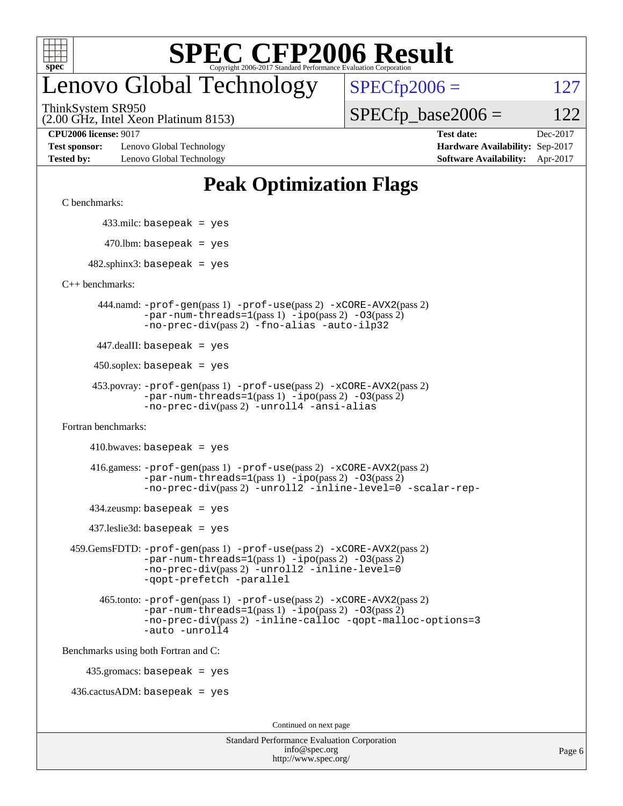

# enovo Global Technology

ThinkSystem SR950

 $SPECTp2006 = 127$ 

(2.00 GHz, Intel Xeon Platinum 8153)

 $SPECTp\_base2006 = 122$ 

**[Test sponsor:](http://www.spec.org/auto/cpu2006/Docs/result-fields.html#Testsponsor)** Lenovo Global Technology **[Hardware Availability:](http://www.spec.org/auto/cpu2006/Docs/result-fields.html#HardwareAvailability)** Sep-2017 **[Tested by:](http://www.spec.org/auto/cpu2006/Docs/result-fields.html#Testedby)** Lenovo Global Technology **[Software Availability:](http://www.spec.org/auto/cpu2006/Docs/result-fields.html#SoftwareAvailability)** Apr-2017

**[CPU2006 license:](http://www.spec.org/auto/cpu2006/Docs/result-fields.html#CPU2006license)** 9017 **[Test date:](http://www.spec.org/auto/cpu2006/Docs/result-fields.html#Testdate)** Dec-2017

## **[Peak Optimization Flags](http://www.spec.org/auto/cpu2006/Docs/result-fields.html#PeakOptimizationFlags)**

[C benchmarks](http://www.spec.org/auto/cpu2006/Docs/result-fields.html#Cbenchmarks):

433.milc: basepeak = yes

 $470.$ lbm: basepeak = yes

 $482$ .sphinx3: basepeak = yes

[C++ benchmarks:](http://www.spec.org/auto/cpu2006/Docs/result-fields.html#CXXbenchmarks)

 444.namd: [-prof-gen](http://www.spec.org/cpu2006/results/res2017q4/cpu2006-20171211-51068.flags.html#user_peakPASS1_CXXFLAGSPASS1_LDFLAGS444_namd_prof_gen_e43856698f6ca7b7e442dfd80e94a8fc)(pass 1) [-prof-use](http://www.spec.org/cpu2006/results/res2017q4/cpu2006-20171211-51068.flags.html#user_peakPASS2_CXXFLAGSPASS2_LDFLAGS444_namd_prof_use_bccf7792157ff70d64e32fe3e1250b55)(pass 2) [-xCORE-AVX2](http://www.spec.org/cpu2006/results/res2017q4/cpu2006-20171211-51068.flags.html#user_peakPASS2_CXXFLAGSPASS2_LDFLAGS444_namd_f-xCORE-AVX2)(pass 2)  $-par-num-threads=1(pass 1) -ipo(pass 2) -O3(pass 2)$  $-par-num-threads=1(pass 1) -ipo(pass 2) -O3(pass 2)$  $-par-num-threads=1(pass 1) -ipo(pass 2) -O3(pass 2)$  $-par-num-threads=1(pass 1) -ipo(pass 2) -O3(pass 2)$  $-par-num-threads=1(pass 1) -ipo(pass 2) -O3(pass 2)$  $-par-num-threads=1(pass 1) -ipo(pass 2) -O3(pass 2)$ [-no-prec-div](http://www.spec.org/cpu2006/results/res2017q4/cpu2006-20171211-51068.flags.html#user_peakPASS2_CXXFLAGSPASS2_LDFLAGS444_namd_f-no-prec-div)(pass 2) [-fno-alias](http://www.spec.org/cpu2006/results/res2017q4/cpu2006-20171211-51068.flags.html#user_peakCXXOPTIMIZEOPTIMIZE444_namd_f-no-alias_694e77f6c5a51e658e82ccff53a9e63a) [-auto-ilp32](http://www.spec.org/cpu2006/results/res2017q4/cpu2006-20171211-51068.flags.html#user_peakCXXOPTIMIZE444_namd_f-auto-ilp32)

447.dealII: basepeak = yes

 $450$ .soplex: basepeak = yes

```
 453.povray: -prof-gen(pass 1) -prof-use(pass 2) -xCORE-AVX2(pass 2)
         -par-num-threads=1-ipo-O3(pass 2)-no-prec-div(pass 2) -unroll4 -ansi-alias
```
[Fortran benchmarks](http://www.spec.org/auto/cpu2006/Docs/result-fields.html#Fortranbenchmarks):

 $410.bwaves: basepeak = yes$ 

 416.gamess: [-prof-gen](http://www.spec.org/cpu2006/results/res2017q4/cpu2006-20171211-51068.flags.html#user_peakPASS1_FFLAGSPASS1_LDFLAGS416_gamess_prof_gen_e43856698f6ca7b7e442dfd80e94a8fc)(pass 1) [-prof-use](http://www.spec.org/cpu2006/results/res2017q4/cpu2006-20171211-51068.flags.html#user_peakPASS2_FFLAGSPASS2_LDFLAGS416_gamess_prof_use_bccf7792157ff70d64e32fe3e1250b55)(pass 2) [-xCORE-AVX2](http://www.spec.org/cpu2006/results/res2017q4/cpu2006-20171211-51068.flags.html#user_peakPASS2_FFLAGSPASS2_LDFLAGS416_gamess_f-xCORE-AVX2)(pass 2)  $-par-num-threads=1(pass 1) -ipo(pass 2) -O3(pass 2)$  $-par-num-threads=1(pass 1) -ipo(pass 2) -O3(pass 2)$  $-par-num-threads=1(pass 1) -ipo(pass 2) -O3(pass 2)$  $-par-num-threads=1(pass 1) -ipo(pass 2) -O3(pass 2)$  $-par-num-threads=1(pass 1) -ipo(pass 2) -O3(pass 2)$  $-par-num-threads=1(pass 1) -ipo(pass 2) -O3(pass 2)$ [-no-prec-div](http://www.spec.org/cpu2006/results/res2017q4/cpu2006-20171211-51068.flags.html#user_peakPASS2_FFLAGSPASS2_LDFLAGS416_gamess_f-no-prec-div)(pass 2) [-unroll2](http://www.spec.org/cpu2006/results/res2017q4/cpu2006-20171211-51068.flags.html#user_peakOPTIMIZE416_gamess_f-unroll_784dae83bebfb236979b41d2422d7ec2) [-inline-level=0](http://www.spec.org/cpu2006/results/res2017q4/cpu2006-20171211-51068.flags.html#user_peakOPTIMIZE416_gamess_f-inline-level_318d07a09274ad25e8d15dbfaa68ba50) [-scalar-rep-](http://www.spec.org/cpu2006/results/res2017q4/cpu2006-20171211-51068.flags.html#user_peakOPTIMIZE416_gamess_f-disablescalarrep_abbcad04450fb118e4809c81d83c8a1d)

 $434$ .zeusmp: basepeak = yes

437.leslie3d: basepeak = yes

```
 459.GemsFDTD: -prof-gen(pass 1) -prof-use(pass 2) -xCORE-AVX2(pass 2)
            -par-num-threads=1-ipo-O3(pass 2)-no-prec-div(pass 2) -unroll2 -inline-level=0
            -qopt-prefetch -parallel
```
 465.tonto: [-prof-gen](http://www.spec.org/cpu2006/results/res2017q4/cpu2006-20171211-51068.flags.html#user_peakPASS1_FFLAGSPASS1_LDFLAGS465_tonto_prof_gen_e43856698f6ca7b7e442dfd80e94a8fc)(pass 1) [-prof-use](http://www.spec.org/cpu2006/results/res2017q4/cpu2006-20171211-51068.flags.html#user_peakPASS2_FFLAGSPASS2_LDFLAGS465_tonto_prof_use_bccf7792157ff70d64e32fe3e1250b55)(pass 2) [-xCORE-AVX2](http://www.spec.org/cpu2006/results/res2017q4/cpu2006-20171211-51068.flags.html#user_peakPASS2_FFLAGSPASS2_LDFLAGS465_tonto_f-xCORE-AVX2)(pass 2)  $-par-num-threads=1(pass 1) -ipo(pass 2) -O3(pass 2)$  $-par-num-threads=1(pass 1) -ipo(pass 2) -O3(pass 2)$  $-par-num-threads=1(pass 1) -ipo(pass 2) -O3(pass 2)$  $-par-num-threads=1(pass 1) -ipo(pass 2) -O3(pass 2)$  $-par-num-threads=1(pass 1) -ipo(pass 2) -O3(pass 2)$  $-par-num-threads=1(pass 1) -ipo(pass 2) -O3(pass 2)$ [-no-prec-div](http://www.spec.org/cpu2006/results/res2017q4/cpu2006-20171211-51068.flags.html#user_peakPASS2_FFLAGSPASS2_LDFLAGS465_tonto_f-no-prec-div)(pass 2) [-inline-calloc](http://www.spec.org/cpu2006/results/res2017q4/cpu2006-20171211-51068.flags.html#user_peakOPTIMIZE465_tonto_f-inline-calloc) [-qopt-malloc-options=3](http://www.spec.org/cpu2006/results/res2017q4/cpu2006-20171211-51068.flags.html#user_peakOPTIMIZE465_tonto_f-qopt-malloc-options_0fcb435012e78f27d57f473818e45fe4) [-auto](http://www.spec.org/cpu2006/results/res2017q4/cpu2006-20171211-51068.flags.html#user_peakOPTIMIZE465_tonto_f-auto) [-unroll4](http://www.spec.org/cpu2006/results/res2017q4/cpu2006-20171211-51068.flags.html#user_peakOPTIMIZE465_tonto_f-unroll_4e5e4ed65b7fd20bdcd365bec371b81f)

[Benchmarks using both Fortran and C](http://www.spec.org/auto/cpu2006/Docs/result-fields.html#BenchmarksusingbothFortranandC):

435.gromacs: basepeak = yes

 $436.cactusADM: basepeak = yes$ 

Continued on next page

| <b>Standard Performance Evaluation Corporation</b> |
|----------------------------------------------------|
| info@spec.org                                      |
| http://www.spec.org/                               |